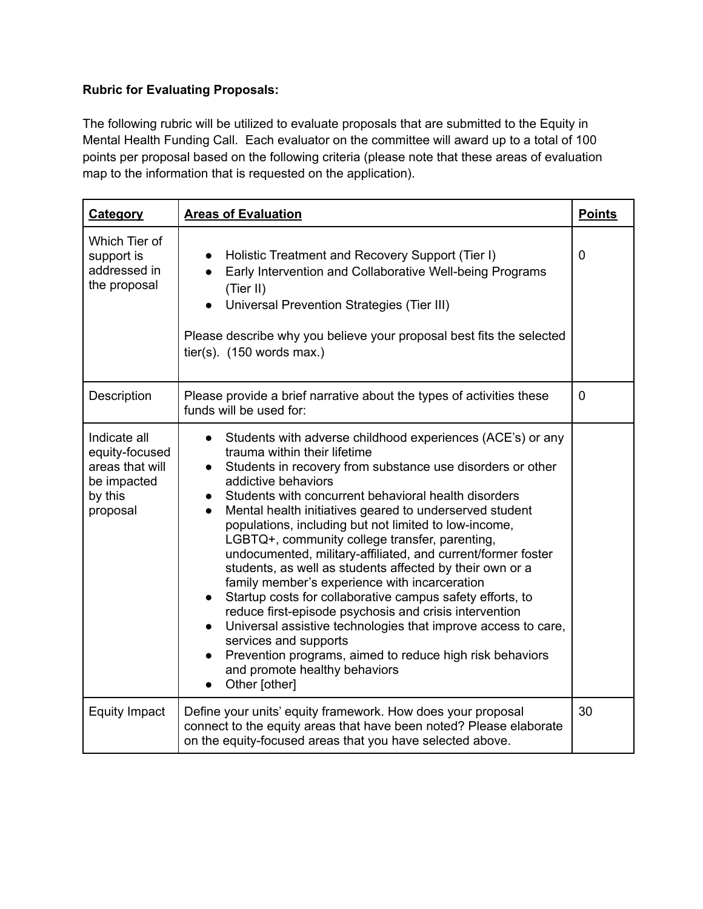## **Rubric for Evaluating Proposals:**

The following rubric will be utilized to evaluate proposals that are submitted to the Equity in Mental Health Funding Call. Each evaluator on the committee will award up to a total of 100 points per proposal based on the following criteria (please note that these areas of evaluation map to the information that is requested on the application).

| <b>Category</b>                                                                         | <b>Areas of Evaluation</b>                                                                                                                                                                                                                                                                                                                                                                                                                                                                                                                                                                                                                                                                                                                                                                                                                                                                                                                                                                                           | <b>Points</b> |
|-----------------------------------------------------------------------------------------|----------------------------------------------------------------------------------------------------------------------------------------------------------------------------------------------------------------------------------------------------------------------------------------------------------------------------------------------------------------------------------------------------------------------------------------------------------------------------------------------------------------------------------------------------------------------------------------------------------------------------------------------------------------------------------------------------------------------------------------------------------------------------------------------------------------------------------------------------------------------------------------------------------------------------------------------------------------------------------------------------------------------|---------------|
| Which Tier of<br>support is<br>addressed in<br>the proposal                             | Holistic Treatment and Recovery Support (Tier I)<br>Early Intervention and Collaborative Well-being Programs<br>(Tier II)<br>Universal Prevention Strategies (Tier III)<br>Please describe why you believe your proposal best fits the selected<br>tier(s). $(150$ words max.)                                                                                                                                                                                                                                                                                                                                                                                                                                                                                                                                                                                                                                                                                                                                       | $\mathbf 0$   |
| Description                                                                             | Please provide a brief narrative about the types of activities these<br>funds will be used for:                                                                                                                                                                                                                                                                                                                                                                                                                                                                                                                                                                                                                                                                                                                                                                                                                                                                                                                      | $\mathbf 0$   |
| Indicate all<br>equity-focused<br>areas that will<br>be impacted<br>by this<br>proposal | Students with adverse childhood experiences (ACE's) or any<br>$\bullet$<br>trauma within their lifetime<br>Students in recovery from substance use disorders or other<br>$\bullet$<br>addictive behaviors<br>Students with concurrent behavioral health disorders<br>$\bullet$<br>Mental health initiatives geared to underserved student<br>$\bullet$<br>populations, including but not limited to low-income,<br>LGBTQ+, community college transfer, parenting,<br>undocumented, military-affiliated, and current/former foster<br>students, as well as students affected by their own or a<br>family member's experience with incarceration<br>Startup costs for collaborative campus safety efforts, to<br>$\bullet$<br>reduce first-episode psychosis and crisis intervention<br>Universal assistive technologies that improve access to care,<br>$\bullet$<br>services and supports<br>Prevention programs, aimed to reduce high risk behaviors<br>$\bullet$<br>and promote healthy behaviors<br>Other [other] |               |
| <b>Equity Impact</b>                                                                    | Define your units' equity framework. How does your proposal<br>connect to the equity areas that have been noted? Please elaborate<br>on the equity-focused areas that you have selected above.                                                                                                                                                                                                                                                                                                                                                                                                                                                                                                                                                                                                                                                                                                                                                                                                                       | 30            |